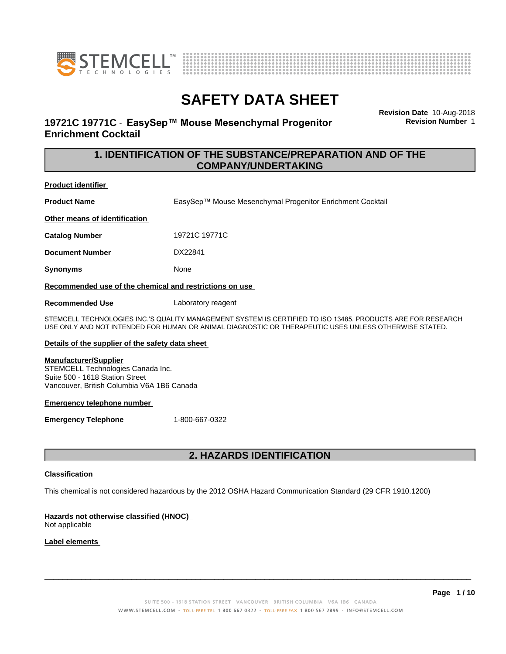



# **19721C 19771C - EasySep™ Mouse Mesenchymal Progenitor Enrichment Cocktail**

**Revision Date** 10-Aug-2018 **Revision Number** 1

# **1. IDENTIFICATION OF THE SUBSTANCE/PREPARATION AND OF THE COMPANY/UNDERTAKING**

**Product identifier**

**Product Name** EasySep™ Mouse Mesenchymal Progenitor Enrichment Cocktail

**Other means of identification**

**Catalog Number** 19721C 19771C

**Document Number** DX22841

**Synonyms** None

**Recommended use of the chemical and restrictions on use**

**Recommended Use** Laboratory reagent

STEMCELL TECHNOLOGIES INC.'S QUALITY MANAGEMENT SYSTEM IS CERTIFIED TO ISO 13485. PRODUCTS ARE FOR RESEARCH USE ONLY AND NOT INTENDED FOR HUMAN OR ANIMAL DIAGNOSTIC OR THERAPEUTIC USES UNLESS OTHERWISE STATED.

### **Details of the supplier of the safety data sheet**

#### **Manufacturer/Supplier**

STEMCELL Technologies Canada Inc. Suite 500 - 1618 Station Street Vancouver, British Columbia V6A 1B6 Canada

#### **Emergency telephone number**

**Emergency Telephone** 1-800-667-0322

# **2. HAZARDS IDENTIFICATION**

### **Classification**

This chemical is not considered hazardous by the 2012 OSHA Hazard Communication Standard (29 CFR 1910.1200)

## **Hazards not otherwise classified (HNOC)**

Not applicable

## **Label elements**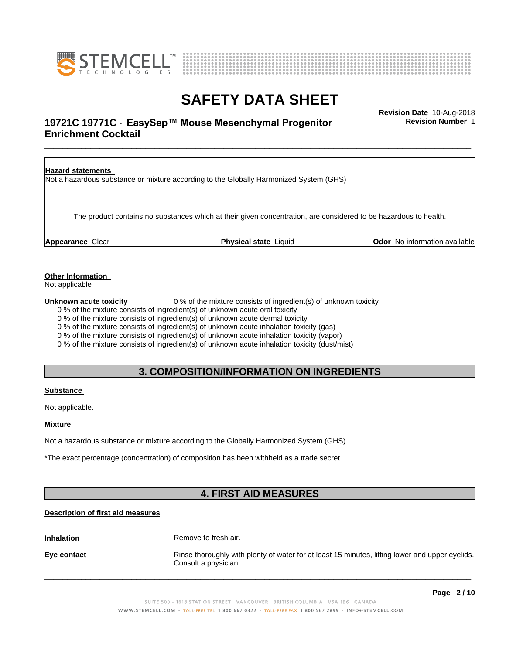



# \_\_\_\_\_\_\_\_\_\_\_\_\_\_\_\_\_\_\_\_\_\_\_\_\_\_\_\_\_\_\_\_\_\_\_\_\_\_\_\_\_\_\_\_\_\_\_\_\_\_\_\_\_\_\_\_\_\_\_\_\_\_\_\_\_\_\_\_\_\_\_\_\_\_\_\_\_\_\_\_\_\_\_\_\_\_\_\_\_\_\_\_\_ **Revision Date** 10-Aug-2018 **19721C 19771C - EasySep™ Mouse Mesenchymal Progenitor Frame Revision Number 1 Enrichment Cocktail**

**Revision Number** 1



**Other Information**

Not applicable

**Unknown acute toxicity** 0 % of the mixture consists of ingredient(s) of unknown toxicity

0 % of the mixture consists of ingredient(s) of unknown acute oral toxicity

0 % of the mixture consists of ingredient(s) of unknown acute dermal toxicity

0 % of the mixture consists of ingredient(s) of unknown acute inhalation toxicity (gas)

0 % of the mixture consists of ingredient(s) of unknown acute inhalation toxicity (vapor)

0 % of the mixture consists of ingredient(s) of unknown acute inhalation toxicity (dust/mist)

# **3. COMPOSITION/INFORMATION ON INGREDIENTS**

## **Substance**

Not applicable.

**Mixture**

Not a hazardous substance or mixture according to the Globally Harmonized System (GHS)

\*The exact percentage (concentration) of composition has been withheld as a trade secret.

# **4. FIRST AID MEASURES**

## **Description of first aid measures**

**Inhalation** Remove to fresh air.

**Eye contact Rinse thoroughly with plenty of water for at least 15 minutes, lifting lower and upper eyelids.** Consult a physician.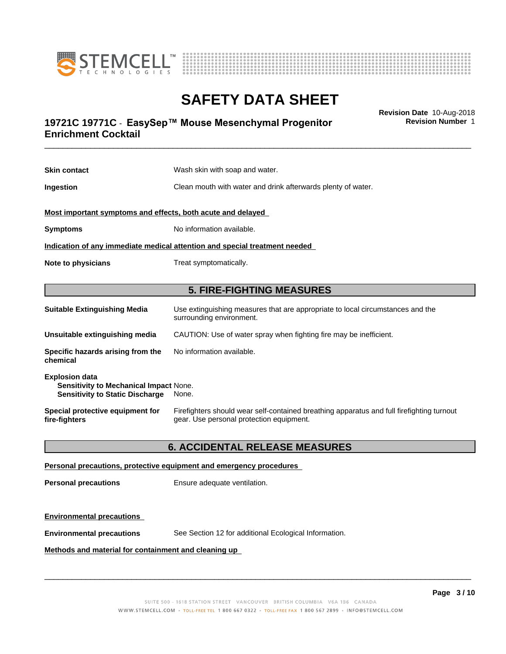



# \_\_\_\_\_\_\_\_\_\_\_\_\_\_\_\_\_\_\_\_\_\_\_\_\_\_\_\_\_\_\_\_\_\_\_\_\_\_\_\_\_\_\_\_\_\_\_\_\_\_\_\_\_\_\_\_\_\_\_\_\_\_\_\_\_\_\_\_\_\_\_\_\_\_\_\_\_\_\_\_\_\_\_\_\_\_\_\_\_\_\_\_\_ **Revision Date** 10-Aug-2018 **19721C 19771C - EasySep™ Mouse Mesenchymal Progenitor Frame Revision Number 1 Enrichment Cocktail**

**Skin contact** Wash skin with soap and water. **Ingestion Clean mouth with water and drink afterwards plenty of water. Most important symptoms and effects, both acute and delayed Symptoms** No information available. **Indication of any immediate medical attention and special treatment needed Note to physicians** Treat symptomatically. **5. FIRE-FIGHTING MEASURES Suitable Extinguishing Media** Use extinguishing measures that are appropriate to local circumstances and the surrounding environment. **Unsuitable extinguishing media** CAUTION: Use of water spray when fighting fire may be inefficient. **Specific hazards arising from the** No information available.

| chemical                                                                                                  |                                                                                                                                       |
|-----------------------------------------------------------------------------------------------------------|---------------------------------------------------------------------------------------------------------------------------------------|
| <b>Explosion data</b><br>Sensitivity to Mechanical Impact None.<br><b>Sensitivity to Static Discharge</b> | None.                                                                                                                                 |
| Special protective equipment for<br>fire-fighters                                                         | Firefighters should wear self-contained breathing apparatus and full firefighting turnout<br>gear. Use personal protection equipment. |

## **6. ACCIDENTAL RELEASE MEASURES**

#### **Personal precautions, protective equipment and emergency procedures**

**Personal precautions** Ensure adequate ventilation.

### **Environmental precautions**

**chemical**

**Environmental precautions** See Section 12 for additional Ecological Information.

#### **Methods and material for containment and cleaning up**

 $\overline{\phantom{a}}$  ,  $\overline{\phantom{a}}$  ,  $\overline{\phantom{a}}$  ,  $\overline{\phantom{a}}$  ,  $\overline{\phantom{a}}$  ,  $\overline{\phantom{a}}$  ,  $\overline{\phantom{a}}$  ,  $\overline{\phantom{a}}$  ,  $\overline{\phantom{a}}$  ,  $\overline{\phantom{a}}$  ,  $\overline{\phantom{a}}$  ,  $\overline{\phantom{a}}$  ,  $\overline{\phantom{a}}$  ,  $\overline{\phantom{a}}$  ,  $\overline{\phantom{a}}$  ,  $\overline{\phantom{a}}$ 

**Revision Number** 1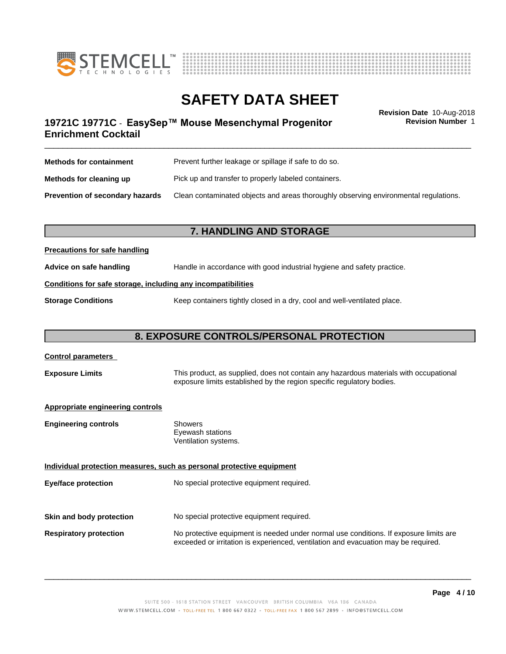



**Revision Number** 1

# \_\_\_\_\_\_\_\_\_\_\_\_\_\_\_\_\_\_\_\_\_\_\_\_\_\_\_\_\_\_\_\_\_\_\_\_\_\_\_\_\_\_\_\_\_\_\_\_\_\_\_\_\_\_\_\_\_\_\_\_\_\_\_\_\_\_\_\_\_\_\_\_\_\_\_\_\_\_\_\_\_\_\_\_\_\_\_\_\_\_\_\_\_ **Revision Date** 10-Aug-2018 **19721C 19771C - EasySep™ Mouse Mesenchymal Progenitor Frame Revision Number 1 Enrichment Cocktail**

| <b>Methods for containment</b>         | Prevent further leakage or spillage if safe to do so.                                |
|----------------------------------------|--------------------------------------------------------------------------------------|
| Methods for cleaning up                | Pick up and transfer to properly labeled containers.                                 |
| <b>Prevention of secondary hazards</b> | Clean contaminated objects and areas thoroughly observing environmental regulations. |

## **7. HANDLING AND STORAGE**

### **Precautions for safe handling**

**Advice on safe handling** Handle in accordance with good industrial hygiene and safety practice.

## **Conditions for safe storage, including any incompatibilities**

**Storage Conditions** Keep containers tightly closed in a dry, cool and well-ventilated place.

## **8. EXPOSURE CONTROLS/PERSONAL PROTECTION**

# **Control parameters Exposure Limits** This product, as supplied, does not contain any hazardous materials with occupational exposure limits established by the region specific regulatory bodies. **Appropriate engineering controls Engineering controls** Showers Eyewash stations Ventilation systems. **Individual protection measures, such as personal protective equipment Eye/face protection** No special protective equipment required. **Skin and body protection** No special protective equipment required. **Respiratory protection** No protective equipment is needed under normal use conditions. If exposure limits are exceeded or irritation is experienced, ventilation and evacuation may be required.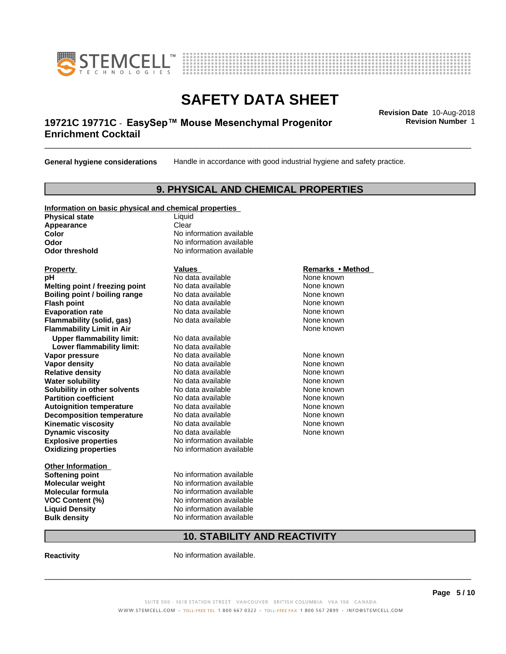



# \_\_\_\_\_\_\_\_\_\_\_\_\_\_\_\_\_\_\_\_\_\_\_\_\_\_\_\_\_\_\_\_\_\_\_\_\_\_\_\_\_\_\_\_\_\_\_\_\_\_\_\_\_\_\_\_\_\_\_\_\_\_\_\_\_\_\_\_\_\_\_\_\_\_\_\_\_\_\_\_\_\_\_\_\_\_\_\_\_\_\_\_\_ **Revision Date** 10-Aug-2018 **19721C 19771C - EasySep™ Mouse Mesenchymal Progenitor Frame Revision Number 1 Enrichment Cocktail**

**General hygiene considerations** Handle in accordance with good industrial hygiene and safety practice.

# **9. PHYSICAL AND CHEMICAL PROPERTIES**

## **Information on basic physical and chemical properties**

**Physical state** Liquid **Appearance** Clear<br> **Color** No inf

**Explosive properties**<br> **Oxidizing properties**<br>
No information available **Oxidizing properties Property Remarks •Method Property Remarks •Method pH** No data available None known<br> **Melting point / freezing point** No data available None known **Melting point / freezing point** No data available None known<br> **Boiling point / boiling range** No data available None known **Boiling point / boiling range Flash point No data available None known Evaporation rate** *rate* No data available **None known Flammability (solid, gas)** No data available None known **Flammability Limit in Air None known None known None known Upper flammability limit:** No data available **Lower flammability limit:** No data available **Vapor pressure No data available None known Vapor density No data available and the None known**<br> **Relative density No data available None known**<br>
No data available **Relative density No data available and the Shown None known**<br> **Water solubility No data available None known None known Water solubility Solubility in other solvents** No data available **None known**<br> **Partition coefficient** No data available **None known**<br>
None known **Partition coefficient**<br> **Autoignition temperature**<br>
No data available **Autoignition temperature No data available None known**<br> **Decomposition temperature** No data available **None known**<br>
None known **Decomposition temperature** No data available<br> **Kinematic viscosity** No data available **Kinematic viscosity No data available None known**<br> **Notata available None known**<br>
Notata available **None known Dynamic viscosity No data available None known** 

**Other Information VOC** Content (%)

**No information available Odor** No information available **Odor threshold** No information available

**Softening point** No information available **Molecular weight** No information available **Molecular formula No information available**<br>**VOC Content (%)** No information available **Liquid Density** No information available **Bulk density** No information available

# **10. STABILITY AND REACTIVITY**

**Reactivity No information available.** 

 $\overline{\phantom{a}}$  ,  $\overline{\phantom{a}}$  ,  $\overline{\phantom{a}}$  ,  $\overline{\phantom{a}}$  ,  $\overline{\phantom{a}}$  ,  $\overline{\phantom{a}}$  ,  $\overline{\phantom{a}}$  ,  $\overline{\phantom{a}}$  ,  $\overline{\phantom{a}}$  ,  $\overline{\phantom{a}}$  ,  $\overline{\phantom{a}}$  ,  $\overline{\phantom{a}}$  ,  $\overline{\phantom{a}}$  ,  $\overline{\phantom{a}}$  ,  $\overline{\phantom{a}}$  ,  $\overline{\phantom{a}}$ 

**Revision Number** 1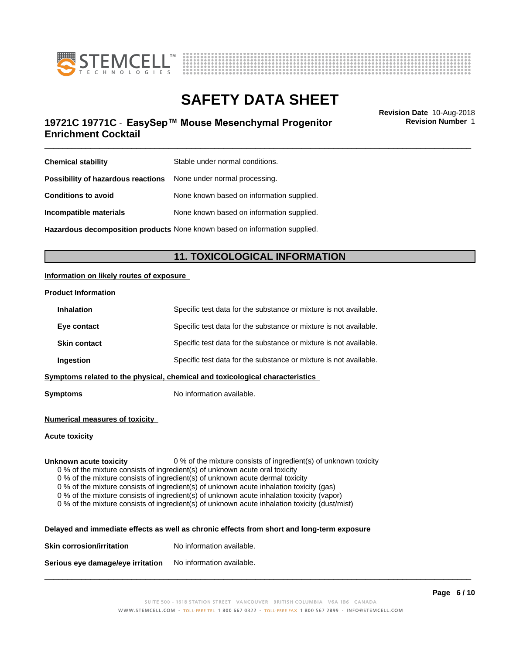



# \_\_\_\_\_\_\_\_\_\_\_\_\_\_\_\_\_\_\_\_\_\_\_\_\_\_\_\_\_\_\_\_\_\_\_\_\_\_\_\_\_\_\_\_\_\_\_\_\_\_\_\_\_\_\_\_\_\_\_\_\_\_\_\_\_\_\_\_\_\_\_\_\_\_\_\_\_\_\_\_\_\_\_\_\_\_\_\_\_\_\_\_\_ **Revision Date** 10-Aug-2018 **19721C 19771C - EasySep™ Mouse Mesenchymal Progenitor Frame Revision Number 1 Enrichment Cocktail**

**Revision Number** 1

| <b>Chemical stability</b>                                               | Stable under normal conditions.                                            |
|-------------------------------------------------------------------------|----------------------------------------------------------------------------|
| <b>Possibility of hazardous reactions</b> None under normal processing. |                                                                            |
| <b>Conditions to avoid</b>                                              | None known based on information supplied.                                  |
| Incompatible materials                                                  | None known based on information supplied.                                  |
|                                                                         | Hazardous decomposition products None known based on information supplied. |

# **11. TOXICOLOGICAL INFORMATION**

### **Information on likely routes of exposure**

#### **Product Information**

| <b>Inhalation</b>   | Specific test data for the substance or mixture is not available.            |
|---------------------|------------------------------------------------------------------------------|
| Eye contact         | Specific test data for the substance or mixture is not available.            |
| <b>Skin contact</b> | Specific test data for the substance or mixture is not available.            |
| Ingestion           | Specific test data for the substance or mixture is not available.            |
|                     | Symptoms related to the physical, chemical and toxicological characteristics |
|                     |                                                                              |

**Symptoms** No information available.

#### **Numerical measures of toxicity**

#### **Acute toxicity**

**Unknown acute toxicity** 0 % of the mixture consists of ingredient(s) of unknown toxicity

0 % of the mixture consists of ingredient(s) of unknown acute oral toxicity

 $0$  % of the mixture consists of ingredient(s) of unknown acute dermal toxicity

0 % of the mixture consists of ingredient(s) of unknown acute inhalation toxicity (gas)

0 % of the mixture consists of ingredient(s) of unknown acute inhalation toxicity (vapor)

0 % of the mixture consists of ingredient(s) of unknown acute inhalation toxicity (dust/mist)

| Delayed and immediate effects as well as chronic effects from short and long-term exposure |  |
|--------------------------------------------------------------------------------------------|--|
|                                                                                            |  |

| <b>Skin corrosion/irritation</b> | No information available. |
|----------------------------------|---------------------------|
|                                  |                           |

**Serious eye damage/eye irritation** No information available.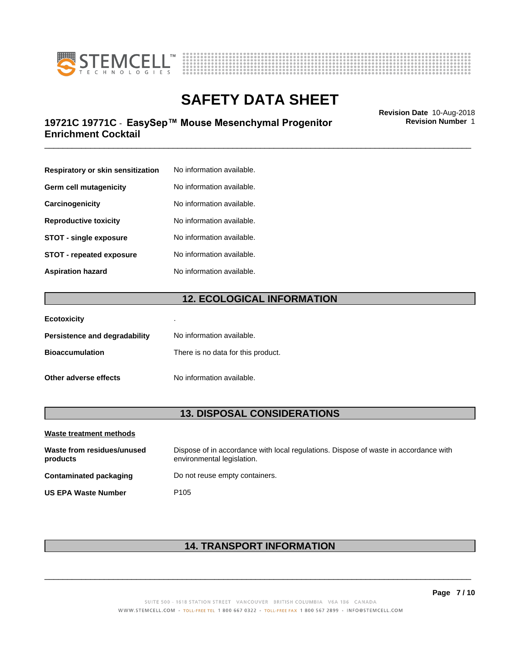



# \_\_\_\_\_\_\_\_\_\_\_\_\_\_\_\_\_\_\_\_\_\_\_\_\_\_\_\_\_\_\_\_\_\_\_\_\_\_\_\_\_\_\_\_\_\_\_\_\_\_\_\_\_\_\_\_\_\_\_\_\_\_\_\_\_\_\_\_\_\_\_\_\_\_\_\_\_\_\_\_\_\_\_\_\_\_\_\_\_\_\_\_\_ **Revision Date** 10-Aug-2018 **19721C 19771C - EasySep™ Mouse Mesenchymal Progenitor Frame Revision Number 1 Enrichment Cocktail**

**Respiratory or skin sensitization** No information available. **Germ cell mutagenicity** No information available. **Carcinogenicity** No information available. **Reproductive toxicity** No information available. **STOT** - **single exposure** No information available. **STOT** - **repeated exposure** No information available. **Aspiration hazard** No information available.

# **12. ECOLOGICAL INFORMATION**

| <b>Ecotoxicity</b>            | ٠                                  |
|-------------------------------|------------------------------------|
| Persistence and degradability | No information available.          |
| <b>Bioaccumulation</b>        | There is no data for this product. |
| Other adverse effects         | No information available.          |

## **13. DISPOSAL CONSIDERATIONS**

| Waste treatment methods                |                                                                                                                    |
|----------------------------------------|--------------------------------------------------------------------------------------------------------------------|
| Waste from residues/unused<br>products | Dispose of in accordance with local regulations. Dispose of waste in accordance with<br>environmental legislation. |
| Contaminated packaging                 | Do not reuse empty containers.                                                                                     |
| <b>US EPA Waste Number</b>             | P <sub>105</sub>                                                                                                   |

# **14. TRANSPORT INFORMATION**

 $\overline{\phantom{a}}$  ,  $\overline{\phantom{a}}$  ,  $\overline{\phantom{a}}$  ,  $\overline{\phantom{a}}$  ,  $\overline{\phantom{a}}$  ,  $\overline{\phantom{a}}$  ,  $\overline{\phantom{a}}$  ,  $\overline{\phantom{a}}$  ,  $\overline{\phantom{a}}$  ,  $\overline{\phantom{a}}$  ,  $\overline{\phantom{a}}$  ,  $\overline{\phantom{a}}$  ,  $\overline{\phantom{a}}$  ,  $\overline{\phantom{a}}$  ,  $\overline{\phantom{a}}$  ,  $\overline{\phantom{a}}$ 

**Revision Number** 1

**Page 7 / 10**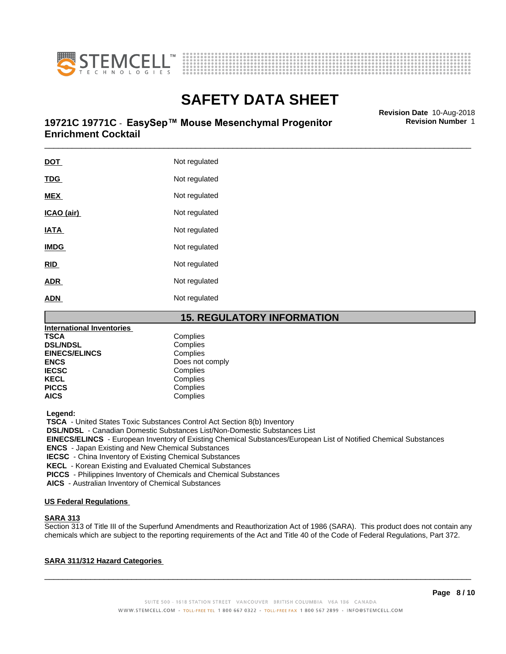



# \_\_\_\_\_\_\_\_\_\_\_\_\_\_\_\_\_\_\_\_\_\_\_\_\_\_\_\_\_\_\_\_\_\_\_\_\_\_\_\_\_\_\_\_\_\_\_\_\_\_\_\_\_\_\_\_\_\_\_\_\_\_\_\_\_\_\_\_\_\_\_\_\_\_\_\_\_\_\_\_\_\_\_\_\_\_\_\_\_\_\_\_\_ **Revision Date** 10-Aug-2018 **19721C 19771C - EasySep™ Mouse Mesenchymal Progenitor Frame Revision Number 1 Enrichment Cocktail**

| <b>DOT</b>  | Not regulated |
|-------------|---------------|
| <b>TDG</b>  | Not regulated |
| <b>MEX</b>  | Not regulated |
| ICAO (air)  | Not regulated |
| <b>IATA</b> | Not regulated |
| <b>IMDG</b> | Not regulated |
| <b>RID</b>  | Not regulated |
| <b>ADR</b>  | Not regulated |
| <b>ADN</b>  | Not regulated |
|             |               |



| <b>International Inventories</b> |                 |
|----------------------------------|-----------------|
| <b>TSCA</b>                      | Complies        |
| <b>DSL/NDSL</b>                  | Complies        |
| <b>EINECS/ELINCS</b>             | Complies        |
| <b>ENCS</b>                      | Does not comply |
| <b>IECSC</b>                     | Complies        |
| <b>KECL</b>                      | Complies        |
| <b>PICCS</b>                     | Complies        |
| <b>AICS</b>                      | Complies        |

 **Legend:**

 **TSCA** - United States Toxic Substances Control Act Section 8(b) Inventory

 **DSL/NDSL** - Canadian Domestic Substances List/Non-Domestic Substances List

 **EINECS/ELINCS** - European Inventory of Existing Chemical Substances/European List of Notified Chemical Substances

 **ENCS** - Japan Existing and New Chemical Substances

 **IECSC** - China Inventory of Existing Chemical Substances

 **KECL** - Korean Existing and Evaluated Chemical Substances

 **PICCS** - Philippines Inventory of Chemicals and Chemical Substances

 **AICS** - Australian Inventory of Chemical Substances

### **US Federal Regulations**

### **SARA 313**

Section 313 of Title III of the Superfund Amendments and Reauthorization Act of 1986 (SARA). This product does not contain any chemicals which are subject to the reporting requirements of the Act and Title 40 of the Code of Federal Regulations, Part 372.

## **SARA 311/312 Hazard Categories**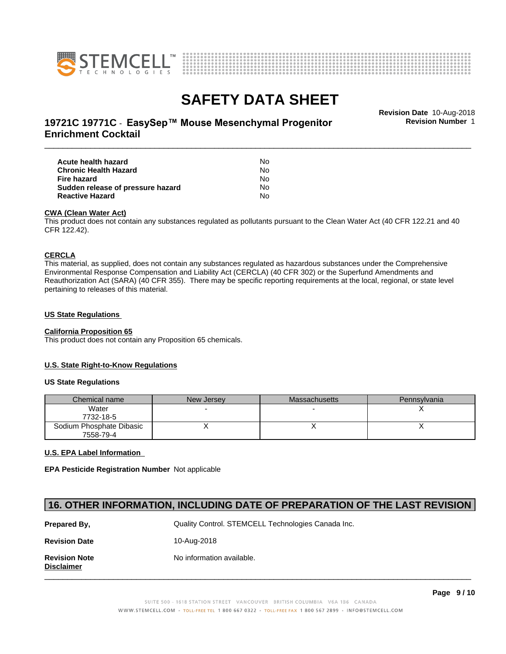



\_\_\_\_\_\_\_\_\_\_\_\_\_\_\_\_\_\_\_\_\_\_\_\_\_\_\_\_\_\_\_\_\_\_\_\_\_\_\_\_\_\_\_\_\_\_\_\_\_\_\_\_\_\_\_\_\_\_\_\_\_\_\_\_\_\_\_\_\_\_\_\_\_\_\_\_\_\_\_\_\_\_\_\_\_\_\_\_\_\_\_\_\_ **Revision Date** 10-Aug-2018 **19721C 19771C - EasySep™ Mouse Mesenchymal Progenitor Frame Revision Number 1 Enrichment Cocktail**

**Revision Number** 1

| Acute health hazard               | No. |  |
|-----------------------------------|-----|--|
| Chronic Health Hazard             | No. |  |
| Fire hazard                       | No. |  |
| Sudden release of pressure hazard | No. |  |
| <b>Reactive Hazard</b>            | N٥  |  |

#### **CWA** (Clean Water Act)

This product does not contain any substances regulated as pollutants pursuant to the Clean Water Act (40 CFR 122.21 and 40 CFR 122.42).

#### **CERCLA**

This material, as supplied, does not contain any substances regulated as hazardous substances under the Comprehensive Environmental Response Compensation and Liability Act (CERCLA) (40 CFR 302) or the Superfund Amendments and Reauthorization Act (SARA) (40 CFR 355). There may be specific reporting requirements at the local, regional, or state level pertaining to releases of this material.

#### **US State Regulations**

## **California Proposition 65**

This product does not contain any Proposition 65 chemicals.

### **U.S. State Right-to-Know Regulations**

#### **US State Regulations**

| Chemical name            | New Jersey | Massachusetts | <b>Pennsylvania</b> |
|--------------------------|------------|---------------|---------------------|
| Water                    |            |               |                     |
| 7732-18-5                |            |               |                     |
| Sodium Phosphate Dibasic |            |               |                     |
| 7558-79-4                |            |               |                     |

### **U.S. EPA Label Information**

**EPA Pesticide Registration Number** Not applicable

# **16. OTHER INFORMATION, INCLUDING DATE OF PREPARATION OF THE LAST REVISION**

| Prepared By.                              | Quality Control. STEMCELL Technologies Canada Inc. |
|-------------------------------------------|----------------------------------------------------|
| <b>Revision Date</b>                      | 10-Aug-2018                                        |
| <b>Revision Note</b><br><b>Disclaimer</b> | No information available.                          |